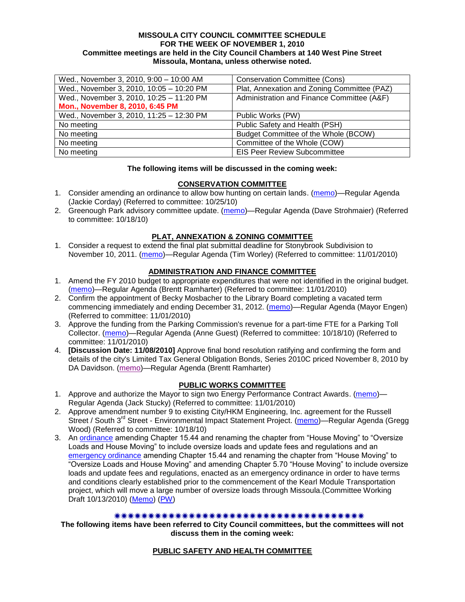#### **MISSOULA CITY COUNCIL COMMITTEE SCHEDULE FOR THE WEEK OF NOVEMBER 1, 2010 Committee meetings are held in the City Council Chambers at 140 West Pine Street Missoula, Montana, unless otherwise noted.**

| Wed., November 3, 2010, 9:00 - 10:00 AM  | <b>Conservation Committee (Cons)</b>        |
|------------------------------------------|---------------------------------------------|
| Wed., November 3, 2010, 10:05 - 10:20 PM | Plat, Annexation and Zoning Committee (PAZ) |
| Wed., November 3, 2010, 10:25 - 11:20 PM | Administration and Finance Committee (A&F)  |
| Mon., November 8, 2010, 6:45 PM          |                                             |
| Wed., November 3, 2010, 11:25 - 12:30 PM | Public Works (PW)                           |
| No meeting                               | Public Safety and Health (PSH)              |
| No meeting                               | Budget Committee of the Whole (BCOW)        |
| No meeting                               | Committee of the Whole (COW)                |
| No meeting                               | <b>EIS Peer Review Subcommittee</b>         |

### **The following items will be discussed in the coming week:**

## **CONSERVATION COMMITTEE**

- 1. Consider amending an ordinance to allow bow hunting on certain lands. [\(memo\)](http://www.ci.missoula.mt.us/DocumentView.aspx?DID=4846)—Regular Agenda (Jackie Corday) (Referred to committee: 10/25/10)
- 2. Greenough Park advisory committee update. [\(memo\)](http://www.ci.missoula.mt.us/DocumentView.aspx?DID=4707)—Regular Agenda (Dave Strohmaier) (Referred to committee: 10/18/10)

## **PLAT, ANNEXATION & ZONING COMMITTEE**

1. Consider a request to extend the final plat submittal deadline for Stonybrook Subdivision to November 10, 2011. [\(memo\)](http://www.ci.missoula.mt.us/DocumentView.aspx?DID=4901)—Regular Agenda (Tim Worley) (Referred to committee: 11/01/2010)

### **ADMINISTRATION AND FINANCE COMMITTEE**

- 1. Amend the FY 2010 budget to appropriate expenditures that were not identified in the original budget. [\(memo\)](http://www.ci.missoula.mt.us/DocumentView.aspx?DID=4883)—Regular Agenda (Brentt Ramharter) (Referred to committee: 11/01/2010)
- 2. Confirm the appointment of Becky Mosbacher to the Library Board completing a vacated term commencing immediately and ending December 31, 2012. [\(memo\)](http://www.ci.missoula.mt.us/DocumentView.aspx?DID=4884)—Regular Agenda (Mayor Engen) (Referred to committee: 11/01/2010)
- 3. Approve the funding from the Parking Commission's revenue for a part-time FTE for a Parking Toll Collector. [\(memo\)](http://www.ci.missoula.mt.us/DocumentView.aspx?DID=4717)—Regular Agenda (Anne Guest) (Referred to committee: 10/18/10) (Referred to committee: 11/01/2010)
- 4. **[Discussion Date: 11/08/2010]** Approve final bond resolution ratifying and confirming the form and details of the city's Limited Tax General Obligation Bonds, Series 2010C priced November 8, 2010 by DA Davidson. [\(memo\)](http://www.ci.missoula.mt.us/DocumentView.aspx?DID=4951)—Regular Agenda (Brentt Ramharter)

#### **PUBLIC WORKS COMMITTEE**

- 1. Approve and authorize the Mayor to sign two Energy Performance Contract Awards. [\(memo\)](http://www.ci.missoula.mt.us/DocumentView.aspx?DID=4909) Regular Agenda (Jack Stucky) (Referred to committee: 11/01/2010)
- 2. Approve amendment number 9 to existing City/HKM Engineering, Inc. agreement for the Russell Street / South 3<sup>rd</sup> Street - Environmental Impact Statement Project. [\(memo\)](http://www.ci.missoula.mt.us/DocumentView.aspx?DID=4726)—Regular Agenda (Gregg Wood) (Referred to committee: 10/18/10)
- 3. An [ordinance](http://www.ci.missoula.mt.us/DocumentView.aspx?DID=4348) amending Chapter 15.44 and renaming the chapter from "House Moving" to "Oversize" Loads and House Moving" to include oversize loads and update fees and regulations and an [emergency ordinance](http://www.ci.missoula.mt.us/DocumentView.aspx?DID=4409) amending Chapter 15.44 and renaming the chapter from "House Moving" to "Oversize Loads and House Moving" and amending Chapter 5.70 "House Moving" to include oversize loads and update fees and regulations, enacted as an emergency ordinance in order to have terms and conditions clearly established prior to the commencement of the Kearl Module Transportation project, which will move a large number of oversize loads through Missoula.(Committee Working Draft 10/13/2010) [\(Memo\)](http://www.ci.missoula.mt.us/DocumentView.aspx?DID=4362) [\(PW\)](http://www.ci.missoula.mt.us/Archive.aspx?ADID=2800)

### \*\*\*\*\*\*\*\*\*\*\*\*\*\*\*\*\*\*\*\*\*\*\*\*\*\*\*\*\*\*\*\*\*\*\*\*\*\*

**The following items have been referred to City Council committees, but the committees will not discuss them in the coming week:**

#### **PUBLIC SAFETY AND HEALTH COMMITTEE**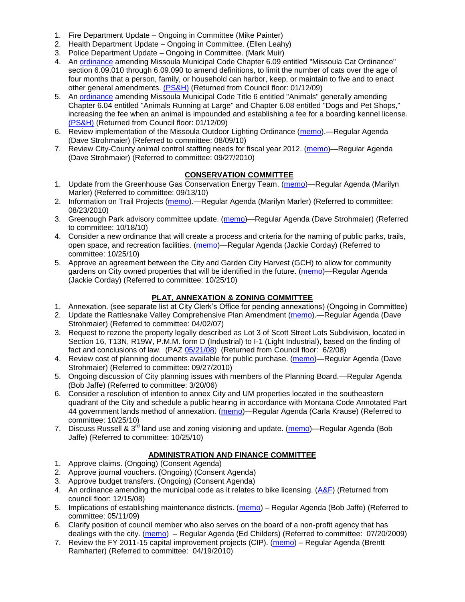- 1. Fire Department Update Ongoing in Committee (Mike Painter)
- 2. Health Department Update Ongoing in Committee. (Ellen Leahy)
- 3. Police Department Update Ongoing in Committee. (Mark Muir)
- 4. An [ordinance](ftp://ftp.ci.missoula.mt.us/Packets/Council/2008/2008-12-15/2008CatOrdinanceAmendment%5B1%5D.pdf) amending Missoula Municipal Code Chapter 6.09 entitled "Missoula Cat Ordinance" section 6.09.010 through 6.09.090 to amend definitions, to limit the number of cats over the age of four months that a person, family, or household can harbor, keep, or maintain to five and to enact other general amendments. [\(PS&H\)](ftp://ftp.ci.missoula.mt.us/Packets/Council/2008/2008-12-15/081210psh.pdf) (Returned from Council floor: 01/12/09)
- 5. An [ordinance](ftp://ftp.ci.missoula.mt.us/Packets/Council/2008/2008-12-15/DogOrdinance--PSHrevisions.pdf) amending Missoula Municipal Code Title 6 entitled "Animals" generally amending Chapter 6.04 entitled "Animals Running at Large" and Chapter 6.08 entitled "Dogs and Pet Shops," increasing the fee when an animal is impounded and establishing a fee for a boarding kennel license. [\(PS&H\)](ftp://ftp.ci.missoula.mt.us/Packets/Council/2008/2008-12-15/081210psh.pdf) (Returned from Council floor: 01/12/09)
- 6. Review implementation of the Missoula Outdoor Lighting Ordinance [\(memo\)](http://www.ci.missoula.mt.us/DocumentView.aspx?DID=4420).—Regular Agenda (Dave Strohmaier) (Referred to committee: 08/09/10)
- 7. Review City-County animal control staffing needs for fiscal year 2012. [\(memo\)](http://www.ci.missoula.mt.us/DocumentView.aspx?DID=4620)—Regular Agenda (Dave Strohmaier) (Referred to committee: 09/27/2010)

# **CONSERVATION COMMITTEE**

- 1. Update from the Greenhouse Gas Conservation Energy Team. [\(memo\)](http://www.ci.missoula.mt.us/DocumentView.aspx?DID=4556)—Regular Agenda (Marilyn Marler) (Referred to committee: 09/13/10)
- 2. Information on Trail Projects [\(memo\)](http://www.ci.missoula.mt.us/DocumentView.aspx?DID=4477).—Regular Agenda (Marilyn Marler) (Referred to committee: 08/23/2010)
- 3. Greenough Park advisory committee update. [\(memo\)](http://www.ci.missoula.mt.us/DocumentView.aspx?DID=4707)—Regular Agenda (Dave Strohmaier) (Referred to committee: 10/18/10)
- 4. Consider a new ordinance that will create a process and criteria for the naming of public parks, trails, open space, and recreation facilities. [\(memo\)](http://www.ci.missoula.mt.us/DocumentView.aspx?DID=4848)—Regular Agenda (Jackie Corday) (Referred to committee: 10/25/10)
- 5. Approve an agreement between the City and Garden City Harvest (GCH) to allow for community gardens on City owned properties that will be identified in the future. [\(memo\)](http://www.ci.missoula.mt.us/DocumentView.aspx?DID=4847)—Regular Agenda (Jackie Corday) (Referred to committee: 10/25/10)

## **PLAT, ANNEXATION & ZONING COMMITTEE**

- 1. Annexation. (see separate list at City Clerk's Office for pending annexations) (Ongoing in Committee)
- 2. Update the Rattlesnake Valley Comprehensive Plan Amendment [\(memo\)](ftp://ftp.ci.missoula.mt.us/Packets/Council/2007/2007-04-02/Referrals/Rattlesnake_Plan_Update_referral.pdf).—Regular Agenda (Dave Strohmaier) (Referred to committee: 04/02/07)
- 3. Request to rezone the property legally described as Lot 3 of Scott Street Lots Subdivision, located in Section 16, T13N, R19W, P.M.M. form D (Industrial) to I-1 (Light Industrial), based on the finding of fact and conclusions of law. (PAZ [05/21/08\)](ftp://ftp.ci.missoula.mt.us/Packets/Council/2008/2008-06-02/080521paz.pdf) (Returned from Council floor: 6/2/08)
- 4. Review cost of planning documents available for public purchase. [\(memo\)](http://www.ci.missoula.mt.us/DocumentView.aspx?DID=4624)—Regular Agenda (Dave Strohmaier) (Referred to committee: 09/27/2010)
- 5. Ongoing discussion of City planning issues with members of the Planning Board.—Regular Agenda (Bob Jaffe) (Referred to committee: 3/20/06)
- 6. Consider a resolution of intention to annex City and UM properties located in the southeastern quadrant of the City and schedule a public hearing in accordance with Montana Code Annotated Part 44 government lands method of annexation. [\(memo\)](http://www.ci.missoula.mt.us/DocumentView.aspx?DID=4845)—Regular Agenda (Carla Krause) (Referred to committee: 10/25/10)
- 7. Discuss Russell & 3<sup>rd</sup> land use and zoning visioning and update. [\(memo\)](http://www.ci.missoula.mt.us/DocumentView.aspx?DID=4864)—Regular Agenda (Bob Jaffe) (Referred to committee: 10/25/10)

# **ADMINISTRATION AND FINANCE COMMITTEE**

- 1. Approve claims. (Ongoing) (Consent Agenda)
- 2. Approve journal vouchers. (Ongoing) (Consent Agenda)
- 3. Approve budget transfers. (Ongoing) (Consent Agenda)
- 4. An ordinance amending the municipal code as it relates to bike licensing.  $(A\&F)$  (Returned from council floor: 12/15/08)
- 5. Implications of establishing maintenance districts. [\(memo\)](ftp://ftp.ci.missoula.mt.us/Packets/Council/2009/2009-05-11/Referrals/MaintenanceDistricts.pdf) Regular Agenda (Bob Jaffe) (Referred to committee: 05/11/09)
- 6. Clarify position of council member who also serves on the board of a non-profit agency that has dealings with the city. [\(memo\)](http://www.ci.missoula.mt.us/DocumentView.aspx?DID=1840) – Regular Agenda (Ed Childers) (Referred to committee: 07/20/2009)
- 7. Review the FY 2011-15 capital improvement projects (CIP). [\(memo\)](http://www.ci.missoula.mt.us/DocumentView.aspx?DID=3522) Regular Agenda (Brentt Ramharter) (Referred to committee: 04/19/2010)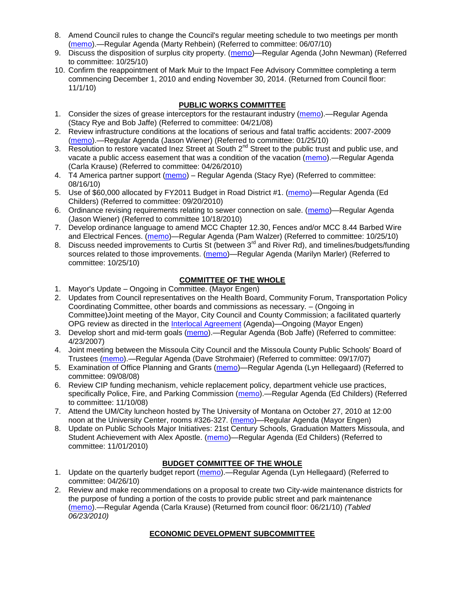- 8. Amend Council rules to change the Council's regular meeting schedule to two meetings per month [\(memo\)](http://www.ci.missoula.mt.us/DocumentView.aspx?DID=4027).—Regular Agenda (Marty Rehbein) (Referred to committee: 06/07/10)
- 9. Discuss the disposition of surplus city property. [\(memo\)](http://www.ci.missoula.mt.us/DocumentView.aspx?DID=4862)—Regular Agenda (John Newman) (Referred to committee: 10/25/10)
- 10. Confirm the reappointment of Mark Muir to the Impact Fee Advisory Committee completing a term commencing December 1, 2010 and ending November 30, 2014. (Returned from Council floor: 11/1/10)

# **PUBLIC WORKS COMMITTEE**

- 1. Consider the sizes of grease interceptors for the restaurant industry [\(memo\)](ftp://ftp.ci.missoula.mt.us/Packets/Council/2008/2008-04-21/Referrals/Industrial_waste_restaurants.pdf).—Regular Agenda (Stacy Rye and Bob Jaffe) (Referred to committee: 04/21/08)
- 2. Review infrastructure conditions at the locations of serious and fatal traffic accidents: 2007-2009 [\(memo\)](http://www.ci.missoula.mt.us/DocumentView.aspx?DID=3031).—Regular Agenda (Jason Wiener) (Referred to committee: 01/25/10)
- 3. Resolution to restore vacated Inez Street at South 2<sup>nd</sup> Street to the public trust and public use, and vacate a public access easement that was a condition of the vacation [\(memo\)](http://www.ci.missoula.mt.us/DocumentView.aspx?DID=3573).—Regular Agenda (Carla Krause) (Referred to committee: 04/26/2010)
- 4. T4 America partner support [\(memo\)](http://www.ci.missoula.mt.us/DocumentView.aspx?DID=4452) Regular Agenda (Stacy Rye) (Referred to committee: 08/16/10)
- 5. Use of \$60,000 allocated by FY2011 Budget in Road District #1. [\(memo\)](http://www.ci.missoula.mt.us/DocumentView.aspx?DID=4589)—Regular Agenda (Ed Childers) (Referred to committee: 09/20/2010)
- 6. Ordinance revising requirements relating to sewer connection on sale. [\(memo\)](http://www.ci.missoula.mt.us/DocumentView.aspx?DID=4746)—Regular Agenda (Jason Wiener) (Referred to committee 10/18/2010)
- 7. Develop ordinance language to amend MCC Chapter 12.30, Fences and/or MCC 8.44 Barbed Wire and Electrical Fences. [\(memo\)](http://www.ci.missoula.mt.us/DocumentView.aspx?DID=4872)—Regular Agenda (Pam Walzer) (Referred to committee: 10/25/10)
- 8. Discuss needed improvements to Curtis St (between 3<sup>rd</sup> and River Rd), and timelines/budgets/funding sources related to those improvements. [\(memo\)](http://www.ci.missoula.mt.us/DocumentView.aspx?DID=4854)—Regular Agenda (Marilyn Marler) (Referred to committee: 10/25/10)

# **COMMITTEE OF THE WHOLE**

- 1. Mayor's Update Ongoing in Committee. (Mayor Engen)
- 2. Updates from Council representatives on the Health Board, Community Forum, Transportation Policy Coordinating Committee, other boards and commissions as necessary. – (Ongoing in Committee)Joint meeting of the Mayor, City Council and County Commission; a facilitated quarterly OPG review as directed in the [Interlocal Agreement](ftp://ftp.ci.missoula.mt.us/Documents/Mayor/OPG/Adopted-ILA-2005.pdf) (Agenda)—Ongoing (Mayor Engen)
- 3. Develop short and mid-term goals [\(memo\)](ftp://ftp.ci.missoula.mt.us/Packets/Council/2007/2007-04-23/Referrals/Council_Goals.pdf).—Regular Agenda (Bob Jaffe) (Referred to committee: 4/23/2007)
- 4. Joint meeting between the Missoula City Council and the Missoula County Public Schools' Board of Trustees [\(memo\)](ftp://ftp.ci.missoula.mt.us/Packets/Council/2007/2007-09-17/Referrals/Council_School_Board_referral.pdf).—Regular Agenda (Dave Strohmaier) (Referred to committee: 09/17/07)
- 5. Examination of Office Planning and Grants [\(memo\)](ftp://ftp.ci.missoula.mt.us/Packets/Council/2008/2008-09-08/Referrals/080825HendricksonOPGreferral.pdf)—Regular Agenda (Lyn Hellegaard) (Referred to committee: 09/08/08)
- 6. Review CIP funding mechanism, vehicle replacement policy, department vehicle use practices, specifically Police, Fire, and Parking Commission [\(memo\)](ftp://ftp.ci.missoula.mt.us/Packets/Council/2008/2008-11-10/Referrals/ReviewBudgetary.pdf).—Regular Agenda (Ed Childers) (Referred to committee: 11/10/08)
- 7. Attend the UM/City luncheon hosted by The University of Montana on October 27, 2010 at 12:00 noon at the University Center, rooms #326-327. [\(memo\)](http://www.ci.missoula.mt.us/DocumentView.aspx?DID=4706)—Regular Agenda (Mayor Engen)
- 8. Update on Public Schools Major Initiatives: 21st Century Schools, Graduation Matters Missoula, and Student Achievement with Alex Apostle. [\(memo\)](http://www.ci.missoula.mt.us/DocumentView.aspx?DID=4902)—Regular Agenda (Ed Childers) (Referred to committee: 11/01/2010)

## **BUDGET COMMITTEE OF THE WHOLE**

- 1. Update on the quarterly budget report [\(memo\)](http://www.ci.missoula.mt.us/DocumentView.aspx?DID=3554).—Regular Agenda (Lyn Hellegaard) (Referred to committee: 04/26/10)
- 2. Review and make recommendations on a proposal to create two City-wide maintenance districts for the purpose of funding a portion of the costs to provide public street and park maintenance [\(memo\)](http://www.ci.missoula.mt.us/DocumentView.aspx?DID=4093).—Regular Agenda (Carla Krause) (Returned from council floor: 06/21/10) *(Tabled 06/23/2010)*

# **ECONOMIC DEVELOPMENT SUBCOMMITTEE**